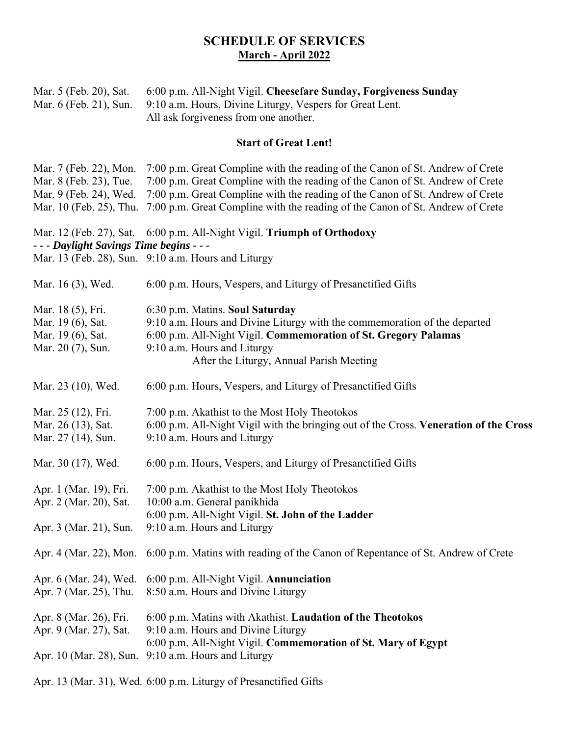## **SCHEDULE OF SERVICES March - Аpril 2022**

| Mar. 5 (Feb. 20), Sat.<br>Mar. 6 (Feb. 21), Sun.                                                                                                                           | 6:00 p.m. All-Night Vigil. Cheesefare Sunday, Forgiveness Sunday<br>9:10 a.m. Hours, Divine Liturgy, Vespers for Great Lent.<br>All ask forgiveness from one another.                                                                                                                                                                                                           |
|----------------------------------------------------------------------------------------------------------------------------------------------------------------------------|---------------------------------------------------------------------------------------------------------------------------------------------------------------------------------------------------------------------------------------------------------------------------------------------------------------------------------------------------------------------------------|
| <b>Start of Great Lent!</b>                                                                                                                                                |                                                                                                                                                                                                                                                                                                                                                                                 |
| Mar. 7 (Feb. 22), Mon.<br>Mar. 8 (Feb. 23), Tue.                                                                                                                           | 7:00 p.m. Great Compline with the reading of the Canon of St. Andrew of Crete<br>7:00 p.m. Great Compline with the reading of the Canon of St. Andrew of Crete<br>Mar. 9 (Feb. 24), Wed. 7:00 p.m. Great Compline with the reading of the Canon of St. Andrew of Crete<br>Mar. 10 (Feb. 25), Thu. 7:00 p.m. Great Compline with the reading of the Canon of St. Andrew of Crete |
| Mar. 12 (Feb. 27), Sat. 6:00 p.m. All-Night Vigil. Triumph of Orthodoxy<br>- - - Daylight Savings Time begins - - -<br>Mar. 13 (Feb. 28), Sun. 9:10 a.m. Hours and Liturgy |                                                                                                                                                                                                                                                                                                                                                                                 |
| Mar. 16 (3), Wed.                                                                                                                                                          | 6:00 p.m. Hours, Vespers, and Liturgy of Presanctified Gifts                                                                                                                                                                                                                                                                                                                    |
| Mar. 18 (5), Fri.<br>Mar. 19 (6), Sat.<br>Mar. 19 (6), Sat.<br>Mar. 20 (7), Sun.                                                                                           | 6:30 p.m. Matins. Soul Saturday<br>9:10 a.m. Hours and Divine Liturgy with the commemoration of the departed<br>6:00 p.m. All-Night Vigil. Commemoration of St. Gregory Palamas<br>9:10 a.m. Hours and Liturgy<br>After the Liturgy, Annual Parish Meeting                                                                                                                      |
| Mar. 23 (10), Wed.                                                                                                                                                         | 6:00 p.m. Hours, Vespers, and Liturgy of Presanctified Gifts                                                                                                                                                                                                                                                                                                                    |
| Mar. 25 (12), Fri.<br>Mar. 26 (13), Sat.<br>Mar. 27 (14), Sun.                                                                                                             | 7:00 p.m. Akathist to the Most Holy Theotokos<br>6:00 p.m. All-Night Vigil with the bringing out of the Cross. Veneration of the Cross<br>9:10 a.m. Hours and Liturgy                                                                                                                                                                                                           |
| Mar. 30 (17), Wed.                                                                                                                                                         | 6:00 p.m. Hours, Vespers, and Liturgy of Presanctified Gifts                                                                                                                                                                                                                                                                                                                    |
| Apr. 1 (Mar. 19), Fri.<br>Apr. 2 (Mar. 20), Sat.<br>Apr. 3 (Mar. 21), Sun.                                                                                                 | 7:00 p.m. Akathist to the Most Holy Theotokos<br>10:00 a.m. General panikhida<br>6:00 p.m. All-Night Vigil. St. John of the Ladder<br>9:10 a.m. Hours and Liturgy                                                                                                                                                                                                               |
| Apr. 4 (Mar. 22), Mon.                                                                                                                                                     | 6:00 p.m. Matins with reading of the Canon of Repentance of St. Andrew of Crete                                                                                                                                                                                                                                                                                                 |
| Apr. 6 (Mar. 24), Wed.<br>Apr. 7 (Mar. 25), Thu.                                                                                                                           | 6:00 p.m. All-Night Vigil. Annunciation<br>8:50 a.m. Hours and Divine Liturgy                                                                                                                                                                                                                                                                                                   |
| Apr. 8 (Mar. 26), Fri.<br>Apr. 9 (Mar. 27), Sat.                                                                                                                           | 6:00 p.m. Matins with Akathist. Laudation of the Theotokos<br>9:10 a.m. Hours and Divine Liturgy<br>6:00 p.m. All-Night Vigil. Commemoration of St. Mary of Egypt<br>Apr. 10 (Mar. 28), Sun. 9:10 a.m. Hours and Liturgy                                                                                                                                                        |

Apr. 13 (Mar. 31), Wed. 6:00 p.m. Liturgy of Presanctified Gifts